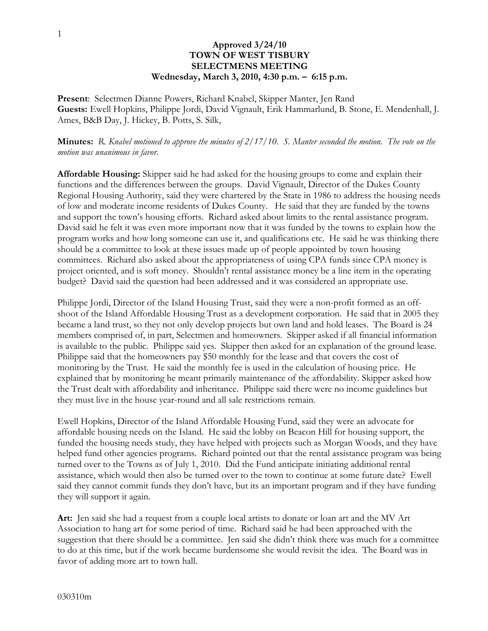## **Approved 3/24/10 TOWN OF WEST TISBURY SELECTMENS MEETING Wednesday, March 3, 2010, 4:30 p.m. – 6:15 p.m.**

**Present**: Selectmen Dianne Powers, Richard Knabel, Skipper Manter, Jen Rand **Guests:** Ewell Hopkins, Philippe Jordi, David Vignault, Erik Hammarlund, B. Stone, E. Mendenhall, J. Ames, B&B Day, J. Hickey, B. Potts, S. Silk,

**Minutes:** *R. Knabel motioned to approve the minutes of 2/17/10. S. Manter seconded the motion. The vote on the motion was unanimous in favor.*

**Affordable Housing:** Skipper said he had asked for the housing groups to come and explain their functions and the differences between the groups. David Vignault, Director of the Dukes County Regional Housing Authority, said they were chartered by the State in 1986 to address the housing needs of low and moderate income residents of Dukes County. He said that they are funded by the towns and support the town's housing efforts. Richard asked about limits to the rental assistance program. David said he felt it was even more important now that it was funded by the towns to explain how the program works and how long someone can use it, and qualifications etc. He said he was thinking there should be a committee to look at these issues made up of people appointed by town housing committees. Richard also asked about the appropriateness of using CPA funds since CPA money is project oriented, and is soft money. Shouldn't rental assistance money be a line item in the operating budget? David said the question had been addressed and it was considered an appropriate use.

Philippe Jordi, Director of the Island Housing Trust, said they were a non-profit formed as an offshoot of the Island Affordable Housing Trust as a development corporation. He said that in 2005 they became a land trust, so they not only develop projects but own land and hold leases. The Board is 24 members comprised of, in part, Selectmen and homeowners. Skipper asked if all financial information is available to the public. Philippe said yes. Skipper then asked for an explanation of the ground lease. Philippe said that the homeowners pay \$50 monthly for the lease and that covers the cost of monitoring by the Trust. He said the monthly fee is used in the calculation of housing price. He explained that by monitoring he meant primarily maintenance of the affordability. Skipper asked how the Trust dealt with affordability and inheritance. Philippe said there were no income guidelines but they must live in the house year-round and all sale restrictions remain.

Ewell Hopkins, Director of the Island Affordable Housing Fund, said they were an advocate for affordable housing needs on the Island. He said the lobby on Beacon Hill for housing support, the funded the housing needs study, they have helped with projects such as Morgan Woods, and they have helped fund other agencies programs. Richard pointed out that the rental assistance program was being turned over to the Towns as of July 1, 2010. Did the Fund anticipate initiating additional rental assistance, which would then also be turned over to the town to continue at some future date? Ewell said they cannot commit funds they don't have, but its an important program and if they have funding they will support it again.

Art: Jen said she had a request from a couple local artists to donate or loan art and the MV Art Association to hang art for some period of time. Richard said he had been approached with the suggestion that there should be a committee. Jen said she didn't think there was much for a committee to do at this time, but if the work became burdensome she would revisit the idea. The Board was in favor of adding more art to town hall.